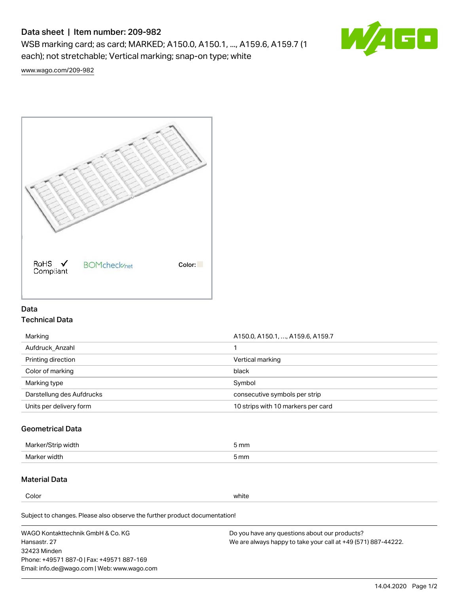# Data sheet | Item number: 209-982

WSB marking card; as card; MARKED; A150.0, A150.1, ..., A159.6, A159.7 (1 each); not stretchable; Vertical marking; snap-on type; white



[www.wago.com/209-982](http://www.wago.com/209-982)



## Data Technical Data

| Marking                   | A150.0, A150.1, , A159.6, A159.7   |
|---------------------------|------------------------------------|
| Aufdruck Anzahl           |                                    |
| Printing direction        | Vertical marking                   |
| Color of marking          | black                              |
| Marking type              | Symbol                             |
| Darstellung des Aufdrucks | consecutive symbols per strip      |
| Units per delivery form   | 10 strips with 10 markers per card |

## Geometrical Data

| طلقاء ئ<br><b>Marker</b><br>widtr | ັກmm |
|-----------------------------------|------|
| Marker width                      | 5 mm |

## Material Data

Color white

Subject to changes. Please also observe the further product documentation!

WAGO Kontakttechnik GmbH & Co. KG Hansastr. 27 32423 Minden Phone: +49571 887-0 | Fax: +49571 887-169 Email: info.de@wago.com | Web: www.wago.com Do you have any questions about our products? We are always happy to take your call at +49 (571) 887-44222.